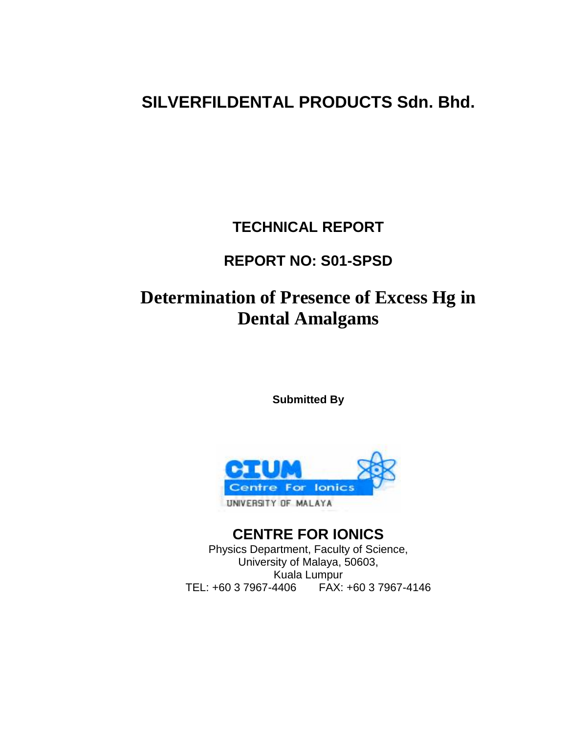# **SILVERFILDENTAL PRODUCTS Sdn. Bhd.**

## **TECHNICAL REPORT**

## **REPORT NO: S01-SPSD**

# **Determination of Presence of Excess Hg in Dental Amalgams**

**Submitted By** 



**CENTRE FOR IONICS** Physics Department, Faculty of Science, University of Malaya, 50603, Kuala Lumpur TEL: +60 3 7967-4406 FAX: +60 3 7967-4146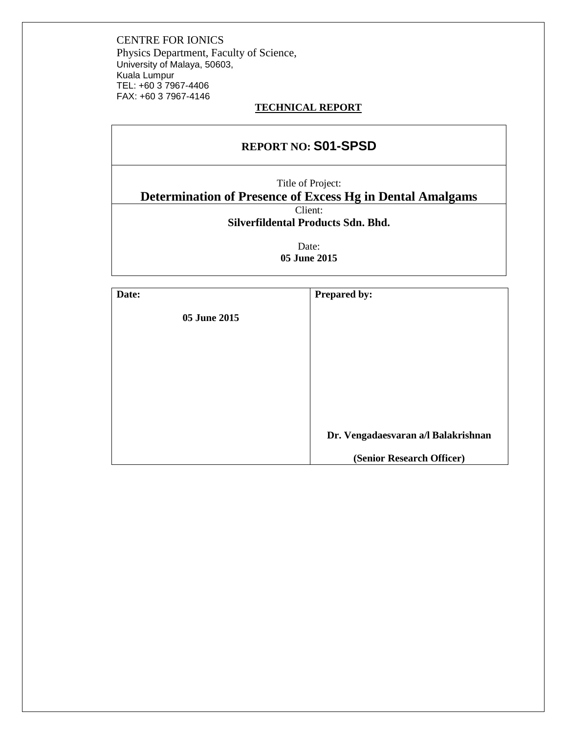#### **TECHNICAL REPORT**

| <b>REPORT NO: S01-SPSD</b>                                       |  |  |
|------------------------------------------------------------------|--|--|
| Title of Project:                                                |  |  |
| <b>Determination of Presence of Excess Hg in Dental Amalgams</b> |  |  |
| Client:                                                          |  |  |
| Silverfildental Products Sdn. Bhd.                               |  |  |
| Date:<br>05 June 2015                                            |  |  |
|                                                                  |  |  |

| Date:        | <b>Prepared by:</b>                 |
|--------------|-------------------------------------|
| 05 June 2015 |                                     |
|              |                                     |
|              |                                     |
|              |                                     |
|              |                                     |
|              |                                     |
|              | Dr. Vengadaesvaran a/l Balakrishnan |
|              | (Senior Research Officer)           |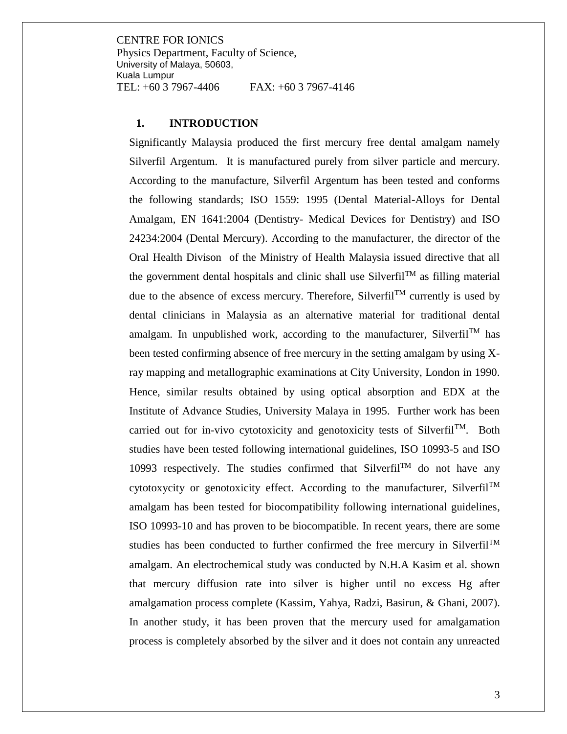#### **1. INTRODUCTION**

Significantly Malaysia produced the first mercury free dental amalgam namely Silverfil Argentum. It is manufactured purely from silver particle and mercury. According to the manufacture, Silverfil Argentum has been tested and conforms the following standards; ISO 1559: 1995 (Dental Material-Alloys for Dental Amalgam, EN 1641:2004 (Dentistry- Medical Devices for Dentistry) and ISO 24234:2004 (Dental Mercury). According to the manufacturer, the director of the Oral Health Divison of the Ministry of Health Malaysia issued directive that all the government dental hospitals and clinic shall use Silverfil<sup>TM</sup> as filling material due to the absence of excess mercury. Therefore, Silverfil<sup>TM</sup> currently is used by dental clinicians in Malaysia as an alternative material for traditional dental amalgam. In unpublished work, according to the manufacturer, Silverfil<sup>TM</sup> has been tested confirming absence of free mercury in the setting amalgam by using Xray mapping and metallographic examinations at City University, London in 1990. Hence, similar results obtained by using optical absorption and EDX at the Institute of Advance Studies, University Malaya in 1995. Further work has been carried out for in-vivo cytotoxicity and genotoxicity tests of Silverfil<sup>TM</sup>. Both studies have been tested following international guidelines, ISO 10993-5 and ISO 10993 respectively. The studies confirmed that Silverfil<sup>TM</sup> do not have any cytotoxycity or genotoxicity effect. According to the manufacturer, Silverfil<sup>TM</sup> amalgam has been tested for biocompatibility following international guidelines, ISO 10993-10 and has proven to be biocompatible. In recent years, there are some studies has been conducted to further confirmed the free mercury in Silverfil<sup>TM</sup> amalgam. An electrochemical study was conducted by N.H.A Kasim et al. shown that mercury diffusion rate into silver is higher until no excess Hg after amalgamation process complete (Kassim, Yahya, Radzi, Basirun, & Ghani, 2007). In another study, it has been proven that the mercury used for amalgamation process is completely absorbed by the silver and it does not contain any unreacted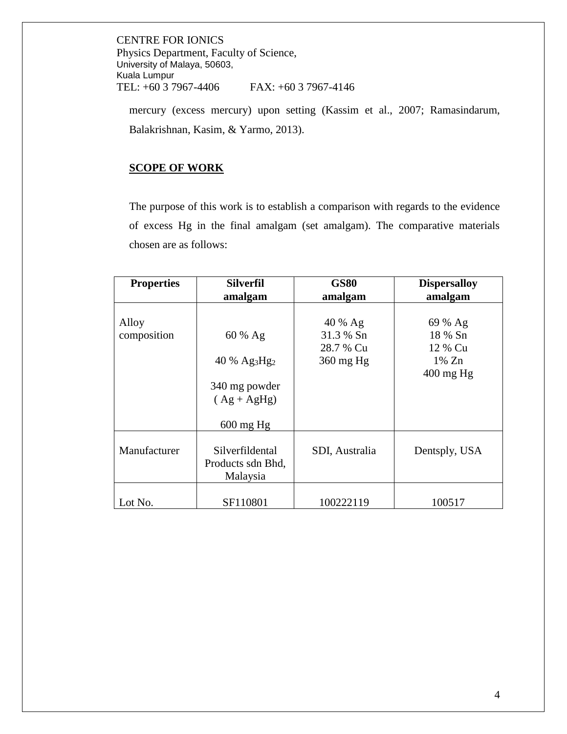mercury (excess mercury) upon setting (Kassim et al., 2007; Ramasindarum, Balakrishnan, Kasim, & Yarmo, 2013).

#### **SCOPE OF WORK**

The purpose of this work is to establish a comparison with regards to the evidence of excess Hg in the final amalgam (set amalgam). The comparative materials chosen are as follows:

| <b>Properties</b>    | <b>Silverfil</b>                                                | <b>GS80</b>                                    | <b>Dispersalloy</b>                                              |
|----------------------|-----------------------------------------------------------------|------------------------------------------------|------------------------------------------------------------------|
|                      | amalgam                                                         | amalgam                                        | amalgam                                                          |
| Alloy<br>composition | $60 \%$ Ag<br>40 % $Ag_3Hg_2$<br>340 mg powder<br>$(Ag + AgHg)$ | 40 % Ag<br>31.3 % Sn<br>28.7 % Cu<br>360 mg Hg | 69 % Ag<br>18 % Sn<br>12 % Cu<br>$1\%$ Zn<br>$400 \text{ mg Hg}$ |
|                      | $600 \text{ mg Hg}$                                             |                                                |                                                                  |
| Manufacturer         | Silverfildental<br>Products sdn Bhd,<br>Malaysia                | SDI, Australia                                 | Dentsply, USA                                                    |
| Lot No.              | SF110801                                                        | 100222119                                      | 100517                                                           |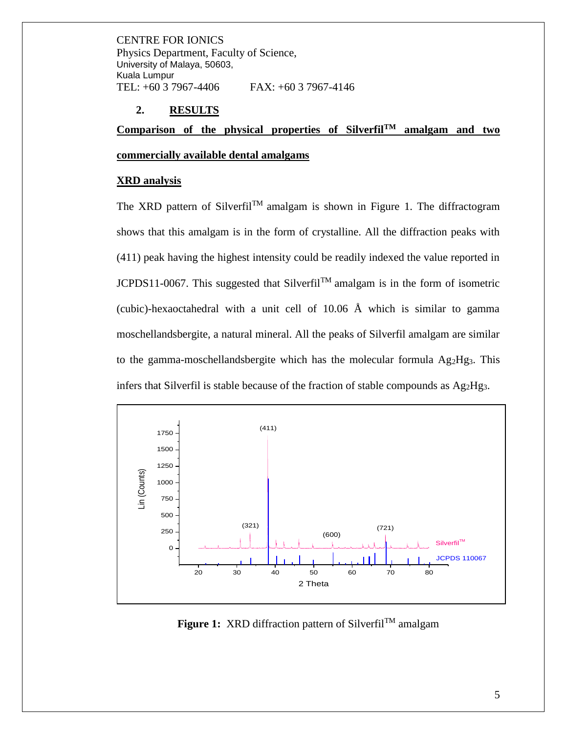#### **2. RESULTS**

**Comparison of the physical properties of SilverfilTM amalgam and two** 

#### **commercially available dental amalgams**

#### **XRD analysis**

The XRD pattern of Silverfil<sup>TM</sup> amalgam is shown in Figure 1. The diffractogram shows that this amalgam is in the form of crystalline. All the diffraction peaks with (411) peak having the highest intensity could be readily indexed the value reported in JCPDS11-0067. This suggested that Silverfil<sup>TM</sup> amalgam is in the form of isometric (cubic)-hexaoctahedral with a unit cell of  $10.06$  Å which is similar to gamma moschellandsbergite, a natural mineral. All the peaks of Silverfil amalgam are similar to the gamma-moschellandsbergite which has the molecular formula  $Ag_2Hg_3$ . This infers that Silverfil is stable because of the fraction of stable compounds as Ag2Hg3.



**Figure 1:** XRD diffraction pattern of Silverfil<sup>TM</sup> amalgam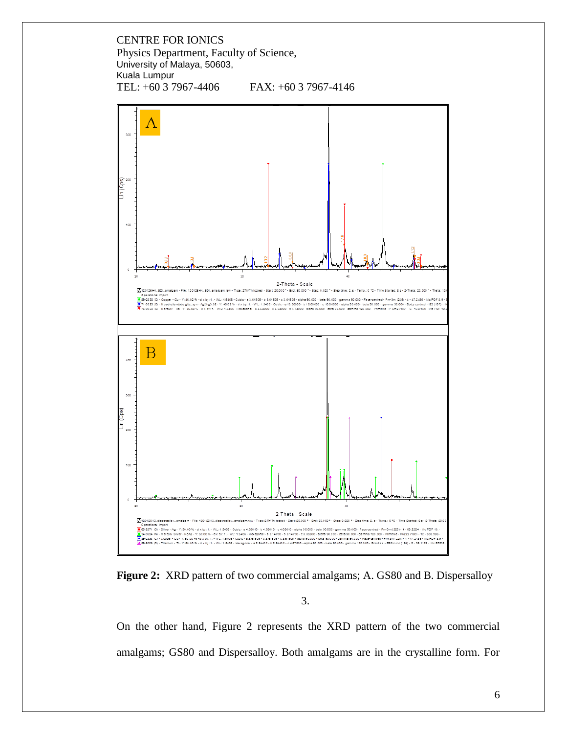



**Figure 2:** XRD pattern of two commercial amalgams; A. GS80 and B. Dispersalloy

3.

On the other hand, Figure 2 represents the XRD pattern of the two commercial amalgams; GS80 and Dispersalloy. Both amalgams are in the crystalline form. For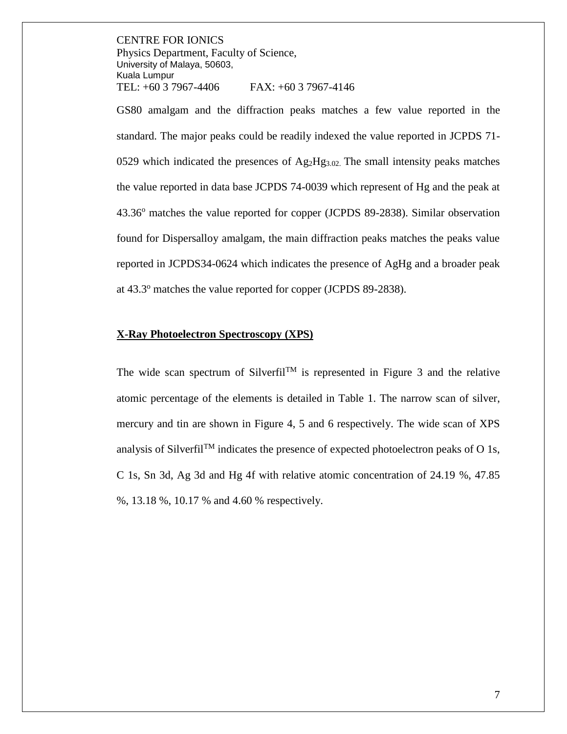GS80 amalgam and the diffraction peaks matches a few value reported in the standard. The major peaks could be readily indexed the value reported in JCPDS 71- 0529 which indicated the presences of  $Ag_2Hg_{3.02}$ . The small intensity peaks matches the value reported in data base JCPDS 74-0039 which represent of Hg and the peak at 43.36<sup>o</sup> matches the value reported for copper (JCPDS 89-2838). Similar observation found for Dispersalloy amalgam, the main diffraction peaks matches the peaks value reported in JCPDS34-0624 which indicates the presence of AgHg and a broader peak at 43.3<sup>o</sup> matches the value reported for copper (JCPDS 89-2838).

#### **X-Ray Photoelectron Spectroscopy (XPS)**

The wide scan spectrum of Silverfil<sup>TM</sup> is represented in Figure 3 and the relative atomic percentage of the elements is detailed in Table 1. The narrow scan of silver, mercury and tin are shown in Figure 4, 5 and 6 respectively. The wide scan of XPS analysis of Silverfil<sup>TM</sup> indicates the presence of expected photoelectron peaks of O 1s, C 1s, Sn 3d, Ag 3d and Hg 4f with relative atomic concentration of 24.19 %, 47.85 %, 13.18 %, 10.17 % and 4.60 % respectively.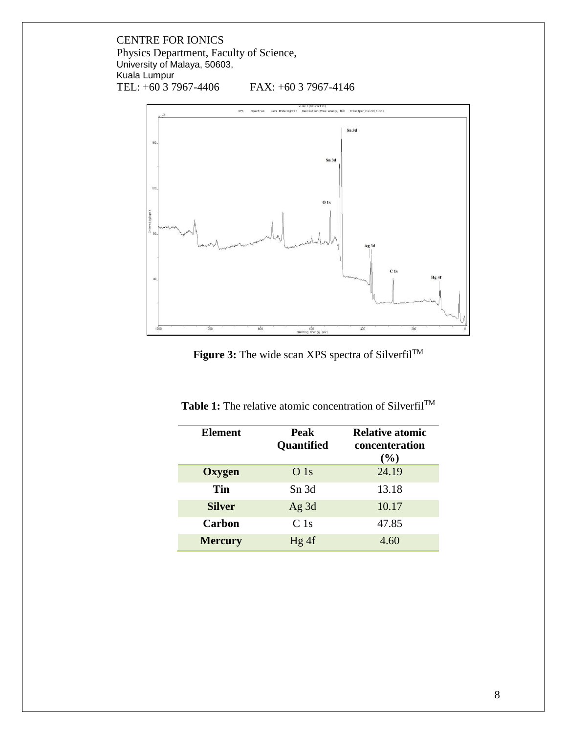

Figure 3: The wide scan XPS spectra of Silverfil<sup>TM</sup>

| <b>Element</b> | Peak<br><b>Quantified</b> | <b>Relative atomic</b><br>concenteration<br>$($ %) |
|----------------|---------------------------|----------------------------------------------------|
| Oxygen         | O <sub>1s</sub>           | 24.19                                              |
| Tin            | Sn 3d                     | 13.18                                              |
| <b>Silver</b>  | Ag $3d$                   | 10.17                                              |
| Carbon         | C <sub>1s</sub>           | 47.85                                              |
| <b>Mercury</b> | Hg 4f                     | 4.60                                               |

Table 1: The relative atomic concentration of Silverfil<sup>TM</sup>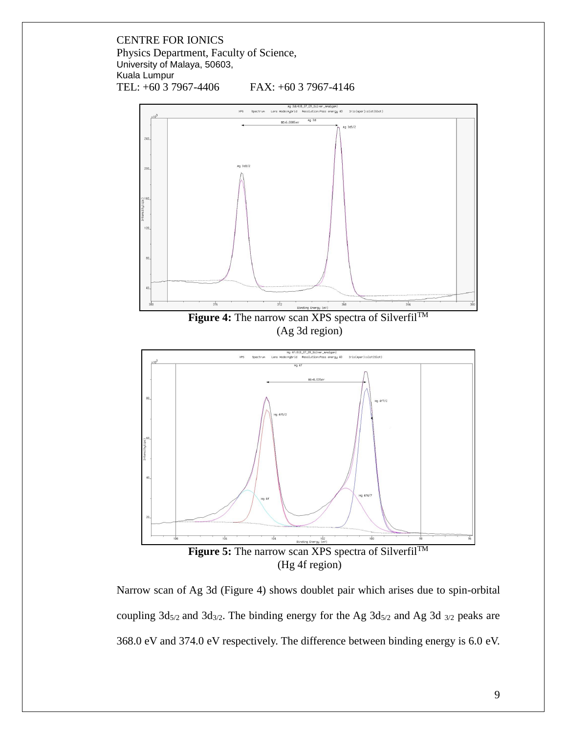

Narrow scan of Ag 3d (Figure 4) shows doublet pair which arises due to spin-orbital coupling  $3d_{5/2}$  and  $3d_{3/2}$ . The binding energy for the Ag  $3d_{5/2}$  and Ag 3d  $_{3/2}$  peaks are 368.0 eV and 374.0 eV respectively. The difference between binding energy is 6.0 eV.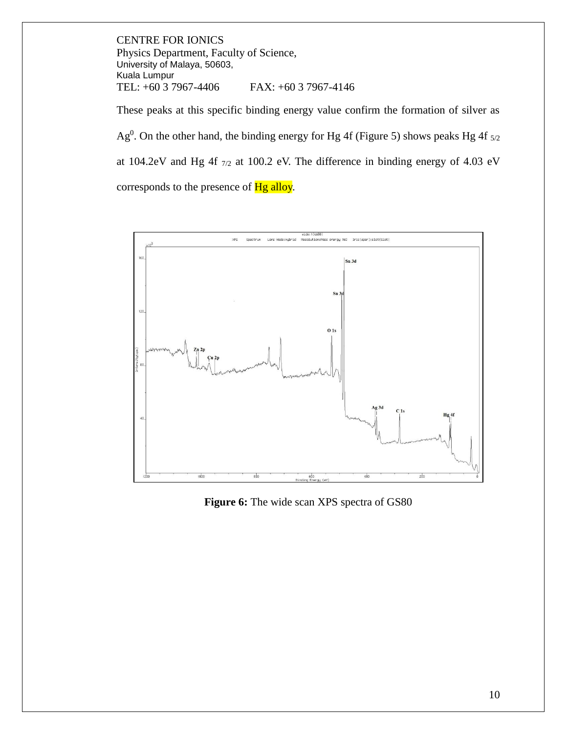These peaks at this specific binding energy value confirm the formation of silver as Ag<sup>0</sup>. On the other hand, the binding energy for Hg 4f (Figure 5) shows peaks Hg 4f  $_{5/2}$ at 104.2eV and Hg 4f 7/2 at 100.2 eV. The difference in binding energy of 4.03 eV corresponds to the presence of Hg alloy.



**Figure 6:** The wide scan XPS spectra of GS80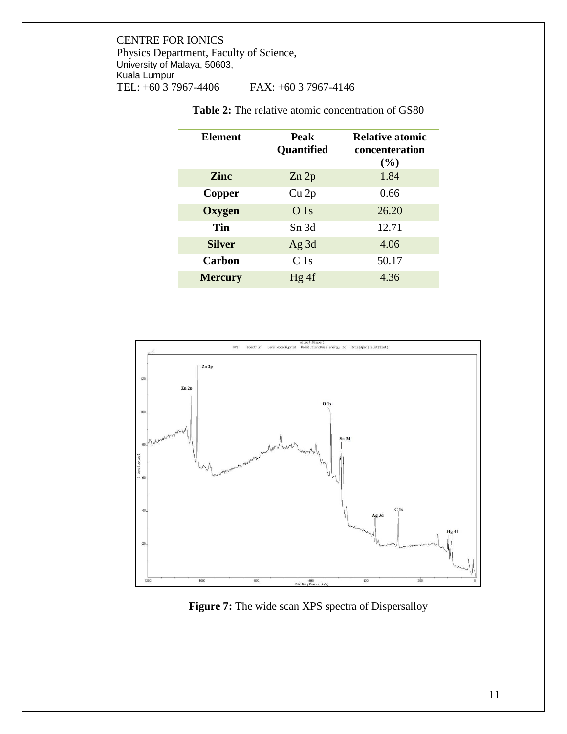| Element        | Peak<br>Quantified | <b>Relative atomic</b><br>concenteration<br>(%) |
|----------------|--------------------|-------------------------------------------------|
| <b>Zinc</b>    | Zn 2p              | 1.84                                            |
| Copper         | Cu <sub>2p</sub>   | 0.66                                            |
| <b>Oxygen</b>  | O <sub>1s</sub>    | 26.20                                           |
| Tin            | Sn 3d              | 12.71                                           |
| <b>Silver</b>  | Ag $3d$            | 4.06                                            |
| Carbon         | C <sub>1s</sub>    | 50.17                                           |
| <b>Mercury</b> | Hg 4f              | 4.36                                            |

**Table 2:** The relative atomic concentration of GS80



Figure 7: The wide scan XPS spectra of Dispersalloy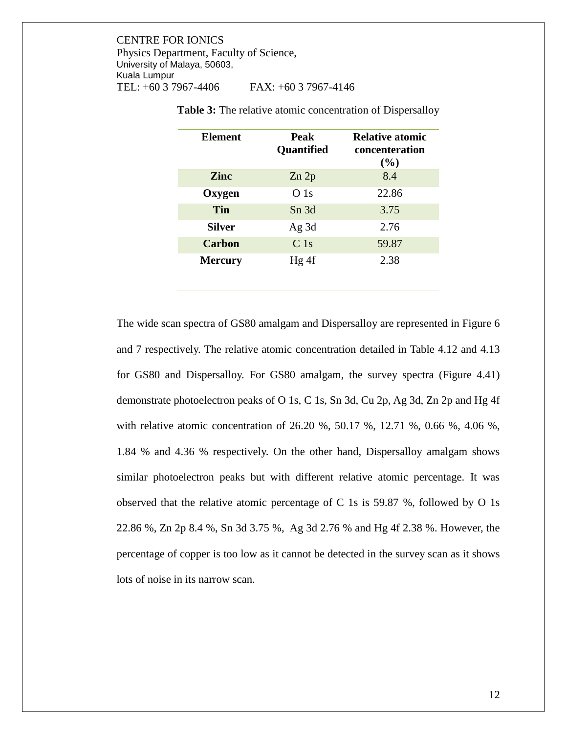| Element        | <b>Peak</b><br>Quantified | <b>Relative atomic</b><br>concenteration<br>$($ %) |
|----------------|---------------------------|----------------------------------------------------|
| Zinc           | Zn 2p                     | 8.4                                                |
| Oxygen         | O <sub>1s</sub>           | 22.86                                              |
| Tin            | Sn 3d                     | 3.75                                               |
| <b>Silver</b>  | Ag $3d$                   | 2.76                                               |
| <b>Carbon</b>  | C <sub>1s</sub>           | 59.87                                              |
| <b>Mercury</b> | Hg 4f                     | 2.38                                               |

**Table 3:** The relative atomic concentration of Dispersalloy

The wide scan spectra of GS80 amalgam and Dispersalloy are represented in Figure 6 and 7 respectively. The relative atomic concentration detailed in Table 4.12 and 4.13 for GS80 and Dispersalloy. For GS80 amalgam, the survey spectra (Figure 4.41) demonstrate photoelectron peaks of O 1s, C 1s, Sn 3d, Cu 2p, Ag 3d, Zn 2p and Hg 4f with relative atomic concentration of 26.20 %, 50.17 %, 12.71 %, 0.66 %, 4.06 %, 1.84 % and 4.36 % respectively. On the other hand, Dispersalloy amalgam shows similar photoelectron peaks but with different relative atomic percentage. It was observed that the relative atomic percentage of C 1s is 59.87 %, followed by O 1s 22.86 %, Zn 2p 8.4 %, Sn 3d 3.75 %, Ag 3d 2.76 % and Hg 4f 2.38 %. However, the percentage of copper is too low as it cannot be detected in the survey scan as it shows lots of noise in its narrow scan.